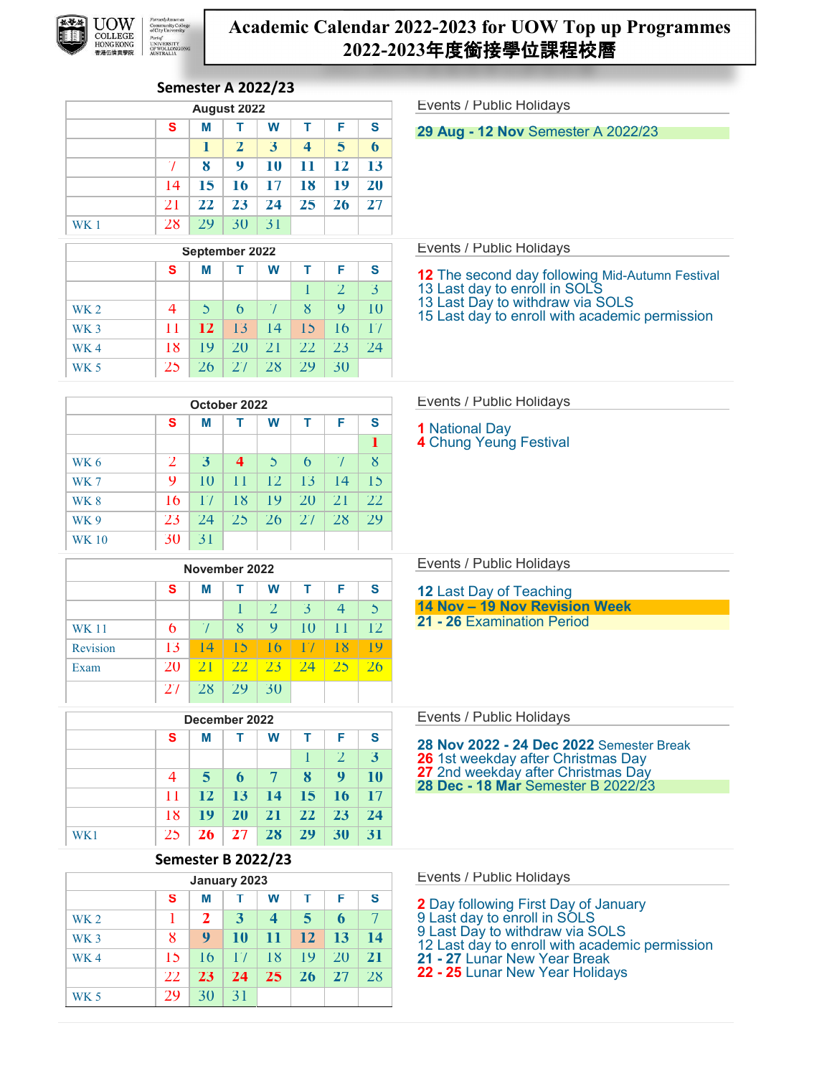

# **Academic Calendar 2022-2023 for UOW Top up Programmes 2022-2023**年度銜接學位課程校曆

# **Semester A 2022/23**

WK 5 29 30 31

|                 |                           |                         | August 2022             |                |                         |                  |                | Events / Public Holidays                                                        |
|-----------------|---------------------------|-------------------------|-------------------------|----------------|-------------------------|------------------|----------------|---------------------------------------------------------------------------------|
|                 | s                         | M                       | т                       | W              | т                       | F                | S              | <b>29 Aug - 12 Nov Semester A 2022/23</b>                                       |
|                 |                           | 1                       | $\mathbf{z}$            | 3              | 4                       | 5                | 6              |                                                                                 |
|                 | $\gamma$                  | $\boldsymbol{8}$        | 9                       | 10             | 11                      | 12               | 13             |                                                                                 |
|                 | 14                        | 15                      | 16                      | 17             | 18                      | 19               | <b>20</b>      |                                                                                 |
|                 | 21                        | 22                      | 23                      | 24             | 25                      | 26               | 27             |                                                                                 |
| WK1             | 28                        | 29                      | 30                      | 31             |                         |                  |                |                                                                                 |
|                 |                           | September 2022          |                         |                |                         |                  |                | Events / Public Holidays                                                        |
|                 | s                         | М                       | т                       | W              | т                       | F                | S              | <b>12</b> The second day following Mid-Autumn Festival                          |
|                 |                           |                         |                         |                | T                       | $\overline{2}$   | 3              | 13 Last day to enroll in SOLS                                                   |
| <b>WK2</b>      | $\overline{4}$            | 5                       | $\theta$                | $\gamma$       | $8\overline{8}$         | 9                | 10             | 13 Last Day to withdraw via SOLS                                                |
| WK <sub>3</sub> | 11                        | 12                      | 13                      | 4              | 15                      | 16               | 17             | 15 Last day to enroll with academic permission                                  |
| WK4             | 18                        | 19                      | 20                      | 21             | 22                      | 23               | 24             |                                                                                 |
| <b>WK 5</b>     | 25                        | 26                      | 27                      | 28             | 29                      | 30               |                |                                                                                 |
|                 |                           |                         |                         |                |                         |                  |                |                                                                                 |
|                 |                           | October 2022            |                         |                |                         |                  |                | Events / Public Holidays                                                        |
|                 | S                         | М                       | т                       | W              | т                       | F                | S              | <b>1</b> National Day                                                           |
|                 |                           |                         |                         |                |                         |                  | п              | 4 Chung Yeung Festival                                                          |
| <b>WK 6</b>     | $\overline{2}$            | $\mathbf{3}$            | $\overline{\mathbf{4}}$ | $\mathcal{L}$  | $\mathfrak b$           | $\mathcal{L}$    | $\mathbf{8}$   |                                                                                 |
| WK7             | 9                         | 10                      | $\overline{11}$         | 12             | 13                      | 14               | 15             |                                                                                 |
| <b>WK8</b>      | 16                        | $\Gamma$                | 18                      | 19             | 20                      | 21               | $22 \,$        |                                                                                 |
| <b>WK9</b>      | 23                        | 24                      | 25                      | 26             | 27                      | 28               | 29             |                                                                                 |
| <b>WK10</b>     | 30                        | 31                      |                         |                |                         |                  |                |                                                                                 |
|                 |                           | November 2022           |                         |                |                         |                  |                | Events / Public Holidays                                                        |
|                 | s                         | М                       | т                       | W              | т                       | F                | S              | <b>12 Last Day of Teaching</b>                                                  |
|                 |                           |                         | T                       | $\overline{2}$ | $\overline{\mathbf{3}}$ | $\overline{4}$   | $\overline{5}$ | 14 Nov - 19 Nov Revision Week                                                   |
| <b>WK 11</b>    | 6                         | $\gamma$                | $8\overline{8}$         | 9              | 10                      | $\mathbf{1}$     | 12             | 21 - 26 Examination Period                                                      |
| Revision        | 13                        | 4                       | 15                      | 16             | 17                      | 18               | 19             |                                                                                 |
| Exam            | 20                        | 21                      | 22                      | 23             | 24                      | 25               | 26             |                                                                                 |
|                 | 27                        | 28                      | 29                      | 30             |                         |                  |                |                                                                                 |
|                 |                           |                         |                         |                |                         |                  |                |                                                                                 |
|                 |                           | December 2022           |                         |                |                         |                  |                | Events / Public Holidays                                                        |
|                 | s                         | М                       | т                       | W              | т                       | F.               | S              | 28 Nov 2022 - 24 Dec 2022 Semester Break                                        |
|                 |                           |                         |                         |                | $\mathbf{I}$            | $\overline{2}$   | 3 <sup>1</sup> | <b>26</b> 1st weekday after Christmas Day<br>27 2nd weekday after Christmas Day |
|                 | 4                         | $\overline{\mathbf{5}}$ | 6                       | $\tau$         | $\boldsymbol{8}$        | 9                | 10             | 28 Dec - 18 Mar Semester B 2022/23                                              |
|                 | $\mathbf{1}$              | 12                      | 13                      | 14             | 15                      | 16               | 17             |                                                                                 |
|                 | 18                        | 19                      | <b>20</b>               | 21             | 22                      | 23               | 24             |                                                                                 |
| WK1             | 25                        | <b>26</b>               | 27                      | 28             | 29                      | 30               | 31             |                                                                                 |
|                 | <b>Semester B 2022/23</b> |                         |                         |                |                         |                  |                |                                                                                 |
|                 |                           | January 2023            |                         |                |                         |                  |                | Events / Public Holidays                                                        |
|                 | s                         | M                       | т                       | W              | т                       | F                | S              | <b>2</b> Day following First Day of January                                     |
| WK <sub>2</sub> | $\mathbf{I}$              | $\overline{2}$          | $\overline{\mathbf{3}}$ | $\overline{4}$ | 5                       | $\boldsymbol{6}$ | $\mathcal{T}$  | 9 Last day to enroll in SOLS<br>9 Last Day to withdraw via SOLS                 |
| WK <sub>3</sub> | $8\phantom{1}$            | 9                       | 10                      | 11             | 12                      | 13               | <b>14</b>      | 12 Last day to enroll with academic permission                                  |
| WK4             | 15                        | 16                      | $\Gamma$                | 18             | 19                      | 20               | 21             | 21 - 27 Lunar New Year Break                                                    |
|                 | 22                        | 23                      | 24                      | 25             | 26                      | 27               | 28             | 22 - 25 Lunar New Year Holidays                                                 |